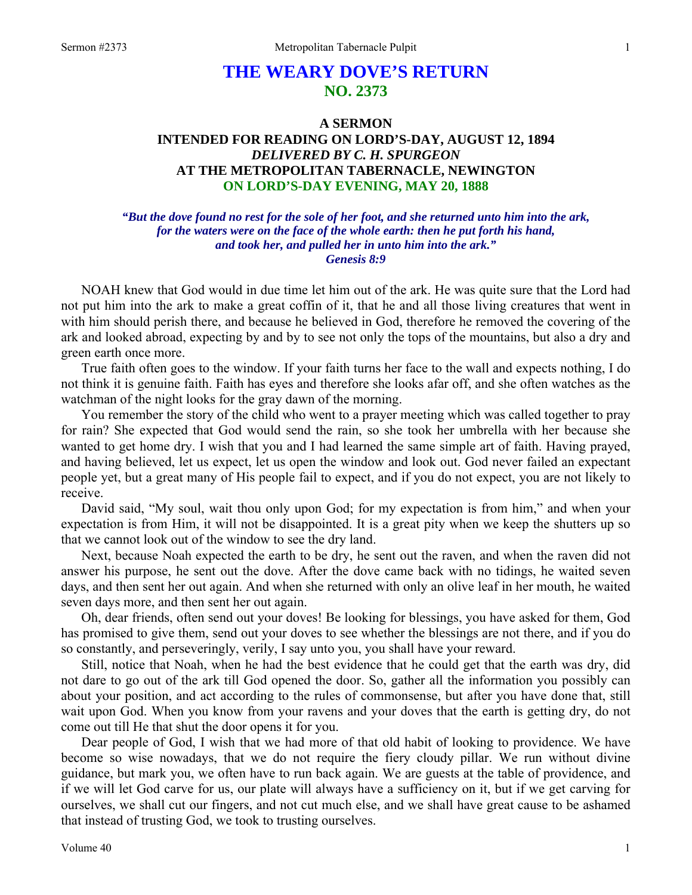# **THE WEARY DOVE'S RETURN NO. 2373**

## **A SERMON INTENDED FOR READING ON LORD'S-DAY, AUGUST 12, 1894**  *DELIVERED BY C. H. SPURGEON*  **AT THE METROPOLITAN TABERNACLE, NEWINGTON ON LORD'S-DAY EVENING, MAY 20, 1888**

#### *"But the dove found no rest for the sole of her foot, and she returned unto him into the ark, for the waters were on the face of the whole earth: then he put forth his hand, and took her, and pulled her in unto him into the ark." Genesis 8:9*

NOAH knew that God would in due time let him out of the ark. He was quite sure that the Lord had not put him into the ark to make a great coffin of it, that he and all those living creatures that went in with him should perish there, and because he believed in God, therefore he removed the covering of the ark and looked abroad, expecting by and by to see not only the tops of the mountains, but also a dry and green earth once more.

True faith often goes to the window. If your faith turns her face to the wall and expects nothing, I do not think it is genuine faith. Faith has eyes and therefore she looks afar off, and she often watches as the watchman of the night looks for the gray dawn of the morning.

You remember the story of the child who went to a prayer meeting which was called together to pray for rain? She expected that God would send the rain, so she took her umbrella with her because she wanted to get home dry. I wish that you and I had learned the same simple art of faith. Having prayed, and having believed, let us expect, let us open the window and look out. God never failed an expectant people yet, but a great many of His people fail to expect, and if you do not expect, you are not likely to receive.

David said, "My soul, wait thou only upon God; for my expectation is from him," and when your expectation is from Him, it will not be disappointed. It is a great pity when we keep the shutters up so that we cannot look out of the window to see the dry land.

Next, because Noah expected the earth to be dry, he sent out the raven, and when the raven did not answer his purpose, he sent out the dove. After the dove came back with no tidings, he waited seven days, and then sent her out again. And when she returned with only an olive leaf in her mouth, he waited seven days more, and then sent her out again.

Oh, dear friends, often send out your doves! Be looking for blessings, you have asked for them, God has promised to give them, send out your doves to see whether the blessings are not there, and if you do so constantly, and perseveringly, verily, I say unto you, you shall have your reward.

Still, notice that Noah, when he had the best evidence that he could get that the earth was dry, did not dare to go out of the ark till God opened the door. So, gather all the information you possibly can about your position, and act according to the rules of commonsense, but after you have done that, still wait upon God. When you know from your ravens and your doves that the earth is getting dry, do not come out till He that shut the door opens it for you.

Dear people of God, I wish that we had more of that old habit of looking to providence. We have become so wise nowadays, that we do not require the fiery cloudy pillar. We run without divine guidance, but mark you, we often have to run back again. We are guests at the table of providence, and if we will let God carve for us, our plate will always have a sufficiency on it, but if we get carving for ourselves, we shall cut our fingers, and not cut much else, and we shall have great cause to be ashamed that instead of trusting God, we took to trusting ourselves.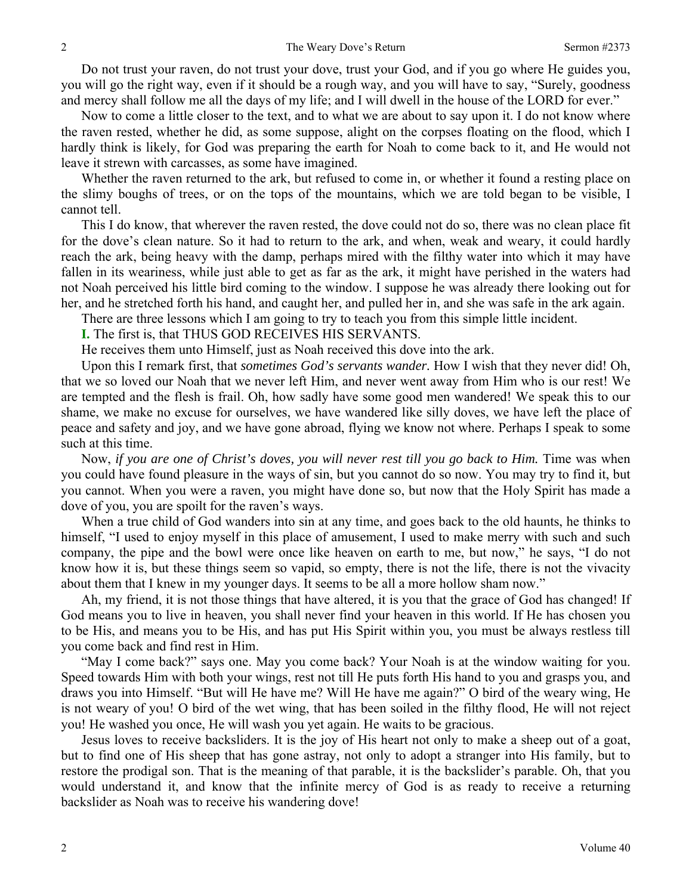Do not trust your raven, do not trust your dove, trust your God, and if you go where He guides you, you will go the right way, even if it should be a rough way, and you will have to say, "Surely, goodness and mercy shall follow me all the days of my life; and I will dwell in the house of the LORD for ever."

Now to come a little closer to the text, and to what we are about to say upon it. I do not know where the raven rested, whether he did, as some suppose, alight on the corpses floating on the flood, which I hardly think is likely, for God was preparing the earth for Noah to come back to it, and He would not leave it strewn with carcasses, as some have imagined.

Whether the raven returned to the ark, but refused to come in, or whether it found a resting place on the slimy boughs of trees, or on the tops of the mountains, which we are told began to be visible, I cannot tell.

This I do know, that wherever the raven rested, the dove could not do so, there was no clean place fit for the dove's clean nature. So it had to return to the ark, and when, weak and weary, it could hardly reach the ark, being heavy with the damp, perhaps mired with the filthy water into which it may have fallen in its weariness, while just able to get as far as the ark, it might have perished in the waters had not Noah perceived his little bird coming to the window. I suppose he was already there looking out for her, and he stretched forth his hand, and caught her, and pulled her in, and she was safe in the ark again.

There are three lessons which I am going to try to teach you from this simple little incident.

**I.** The first is, that THUS GOD RECEIVES HIS SERVANTS.

He receives them unto Himself, just as Noah received this dove into the ark.

Upon this I remark first, that *sometimes God's servants wander.* How I wish that they never did! Oh, that we so loved our Noah that we never left Him, and never went away from Him who is our rest! We are tempted and the flesh is frail. Oh, how sadly have some good men wandered! We speak this to our shame, we make no excuse for ourselves, we have wandered like silly doves, we have left the place of peace and safety and joy, and we have gone abroad, flying we know not where. Perhaps I speak to some such at this time.

Now, *if you are one of Christ's doves, you will never rest till you go back to Him*. Time was when you could have found pleasure in the ways of sin, but you cannot do so now. You may try to find it, but you cannot. When you were a raven, you might have done so, but now that the Holy Spirit has made a dove of you, you are spoilt for the raven's ways.

When a true child of God wanders into sin at any time, and goes back to the old haunts, he thinks to himself, "I used to enjoy myself in this place of amusement, I used to make merry with such and such company, the pipe and the bowl were once like heaven on earth to me, but now," he says, "I do not know how it is, but these things seem so vapid, so empty, there is not the life, there is not the vivacity about them that I knew in my younger days. It seems to be all a more hollow sham now."

Ah, my friend, it is not those things that have altered, it is you that the grace of God has changed! If God means you to live in heaven, you shall never find your heaven in this world. If He has chosen you to be His, and means you to be His, and has put His Spirit within you, you must be always restless till you come back and find rest in Him.

"May I come back?" says one. May you come back? Your Noah is at the window waiting for you. Speed towards Him with both your wings, rest not till He puts forth His hand to you and grasps you, and draws you into Himself. "But will He have me? Will He have me again?" O bird of the weary wing, He is not weary of you! O bird of the wet wing, that has been soiled in the filthy flood, He will not reject you! He washed you once, He will wash you yet again. He waits to be gracious.

Jesus loves to receive backsliders. It is the joy of His heart not only to make a sheep out of a goat, but to find one of His sheep that has gone astray, not only to adopt a stranger into His family, but to restore the prodigal son. That is the meaning of that parable, it is the backslider's parable. Oh, that you would understand it, and know that the infinite mercy of God is as ready to receive a returning backslider as Noah was to receive his wandering dove!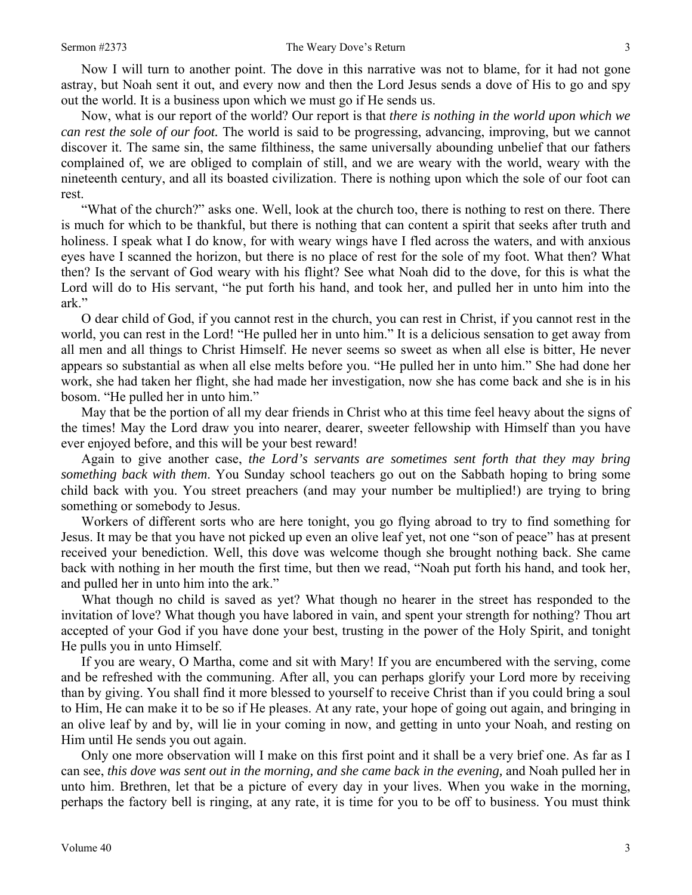Now I will turn to another point. The dove in this narrative was not to blame, for it had not gone astray, but Noah sent it out, and every now and then the Lord Jesus sends a dove of His to go and spy out the world. It is a business upon which we must go if He sends us.

Now, what is our report of the world? Our report is that *there is nothing in the world upon which we can rest the sole of our foot.* The world is said to be progressing, advancing, improving, but we cannot discover it. The same sin, the same filthiness, the same universally abounding unbelief that our fathers complained of, we are obliged to complain of still, and we are weary with the world, weary with the nineteenth century, and all its boasted civilization. There is nothing upon which the sole of our foot can rest.

"What of the church?" asks one. Well, look at the church too, there is nothing to rest on there. There is much for which to be thankful, but there is nothing that can content a spirit that seeks after truth and holiness. I speak what I do know, for with weary wings have I fled across the waters, and with anxious eyes have I scanned the horizon, but there is no place of rest for the sole of my foot. What then? What then? Is the servant of God weary with his flight? See what Noah did to the dove, for this is what the Lord will do to His servant, "he put forth his hand, and took her, and pulled her in unto him into the ark."

O dear child of God, if you cannot rest in the church, you can rest in Christ, if you cannot rest in the world, you can rest in the Lord! "He pulled her in unto him." It is a delicious sensation to get away from all men and all things to Christ Himself. He never seems so sweet as when all else is bitter, He never appears so substantial as when all else melts before you. "He pulled her in unto him." She had done her work, she had taken her flight, she had made her investigation, now she has come back and she is in his bosom. "He pulled her in unto him."

May that be the portion of all my dear friends in Christ who at this time feel heavy about the signs of the times! May the Lord draw you into nearer, dearer, sweeter fellowship with Himself than you have ever enjoyed before, and this will be your best reward!

Again to give another case, *the Lord's servants are sometimes sent forth that they may bring something back with them*. You Sunday school teachers go out on the Sabbath hoping to bring some child back with you. You street preachers (and may your number be multiplied!) are trying to bring something or somebody to Jesus.

Workers of different sorts who are here tonight, you go flying abroad to try to find something for Jesus. It may be that you have not picked up even an olive leaf yet, not one "son of peace" has at present received your benediction. Well, this dove was welcome though she brought nothing back. She came back with nothing in her mouth the first time, but then we read, "Noah put forth his hand, and took her, and pulled her in unto him into the ark."

What though no child is saved as yet? What though no hearer in the street has responded to the invitation of love? What though you have labored in vain, and spent your strength for nothing? Thou art accepted of your God if you have done your best, trusting in the power of the Holy Spirit, and tonight He pulls you in unto Himself.

If you are weary, O Martha, come and sit with Mary! If you are encumbered with the serving, come and be refreshed with the communing. After all, you can perhaps glorify your Lord more by receiving than by giving. You shall find it more blessed to yourself to receive Christ than if you could bring a soul to Him, He can make it to be so if He pleases. At any rate, your hope of going out again, and bringing in an olive leaf by and by, will lie in your coming in now, and getting in unto your Noah, and resting on Him until He sends you out again.

Only one more observation will I make on this first point and it shall be a very brief one. As far as I can see, *this dove was sent out in the morning, and she came back in the evening,* and Noah pulled her in unto him. Brethren, let that be a picture of every day in your lives. When you wake in the morning, perhaps the factory bell is ringing, at any rate, it is time for you to be off to business. You must think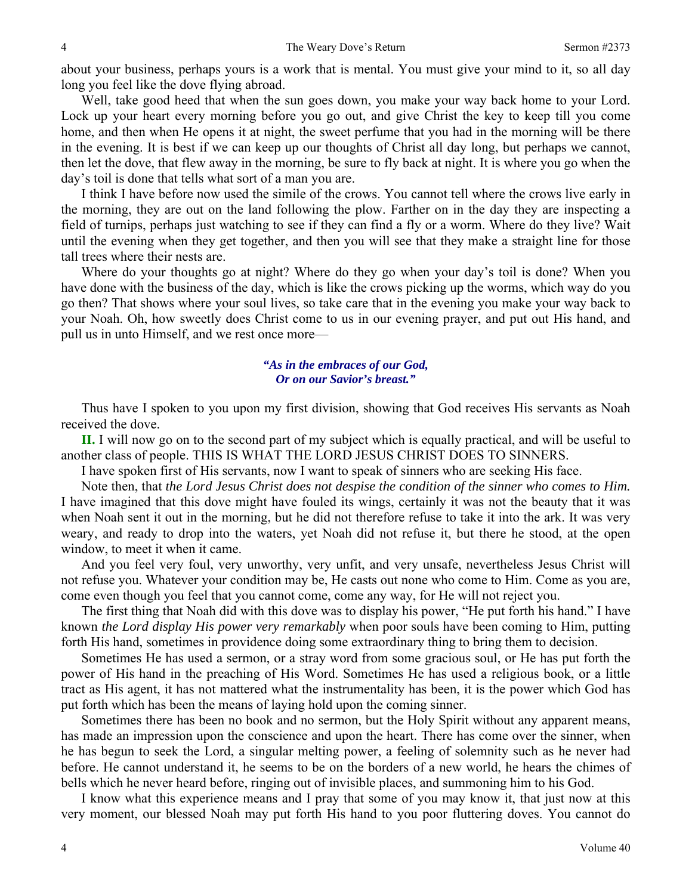about your business, perhaps yours is a work that is mental. You must give your mind to it, so all day long you feel like the dove flying abroad.

Well, take good heed that when the sun goes down, you make your way back home to your Lord. Lock up your heart every morning before you go out, and give Christ the key to keep till you come home, and then when He opens it at night, the sweet perfume that you had in the morning will be there in the evening. It is best if we can keep up our thoughts of Christ all day long, but perhaps we cannot, then let the dove, that flew away in the morning, be sure to fly back at night. It is where you go when the day's toil is done that tells what sort of a man you are.

I think I have before now used the simile of the crows. You cannot tell where the crows live early in the morning, they are out on the land following the plow. Farther on in the day they are inspecting a field of turnips, perhaps just watching to see if they can find a fly or a worm. Where do they live? Wait until the evening when they get together, and then you will see that they make a straight line for those tall trees where their nests are.

Where do your thoughts go at night? Where do they go when your day's toil is done? When you have done with the business of the day, which is like the crows picking up the worms, which way do you go then? That shows where your soul lives, so take care that in the evening you make your way back to your Noah. Oh, how sweetly does Christ come to us in our evening prayer, and put out His hand, and pull us in unto Himself, and we rest once more—

#### *"As in the embraces of our God, Or on our Savior's breast."*

Thus have I spoken to you upon my first division, showing that God receives His servants as Noah received the dove.

**II.** I will now go on to the second part of my subject which is equally practical, and will be useful to another class of people. THIS IS WHAT THE LORD JESUS CHRIST DOES TO SINNERS.

I have spoken first of His servants, now I want to speak of sinners who are seeking His face.

Note then, that *the Lord Jesus Christ does not despise the condition of the sinner who comes to Him.*  I have imagined that this dove might have fouled its wings, certainly it was not the beauty that it was when Noah sent it out in the morning, but he did not therefore refuse to take it into the ark. It was very weary, and ready to drop into the waters, yet Noah did not refuse it, but there he stood, at the open window, to meet it when it came.

And you feel very foul, very unworthy, very unfit, and very unsafe, nevertheless Jesus Christ will not refuse you. Whatever your condition may be, He casts out none who come to Him. Come as you are, come even though you feel that you cannot come, come any way, for He will not reject you.

The first thing that Noah did with this dove was to display his power, "He put forth his hand." I have known *the Lord display His power very remarkably* when poor souls have been coming to Him, putting forth His hand, sometimes in providence doing some extraordinary thing to bring them to decision.

Sometimes He has used a sermon, or a stray word from some gracious soul, or He has put forth the power of His hand in the preaching of His Word. Sometimes He has used a religious book, or a little tract as His agent, it has not mattered what the instrumentality has been, it is the power which God has put forth which has been the means of laying hold upon the coming sinner.

Sometimes there has been no book and no sermon, but the Holy Spirit without any apparent means, has made an impression upon the conscience and upon the heart. There has come over the sinner, when he has begun to seek the Lord, a singular melting power, a feeling of solemnity such as he never had before. He cannot understand it, he seems to be on the borders of a new world, he hears the chimes of bells which he never heard before, ringing out of invisible places, and summoning him to his God.

I know what this experience means and I pray that some of you may know it, that just now at this very moment, our blessed Noah may put forth His hand to you poor fluttering doves. You cannot do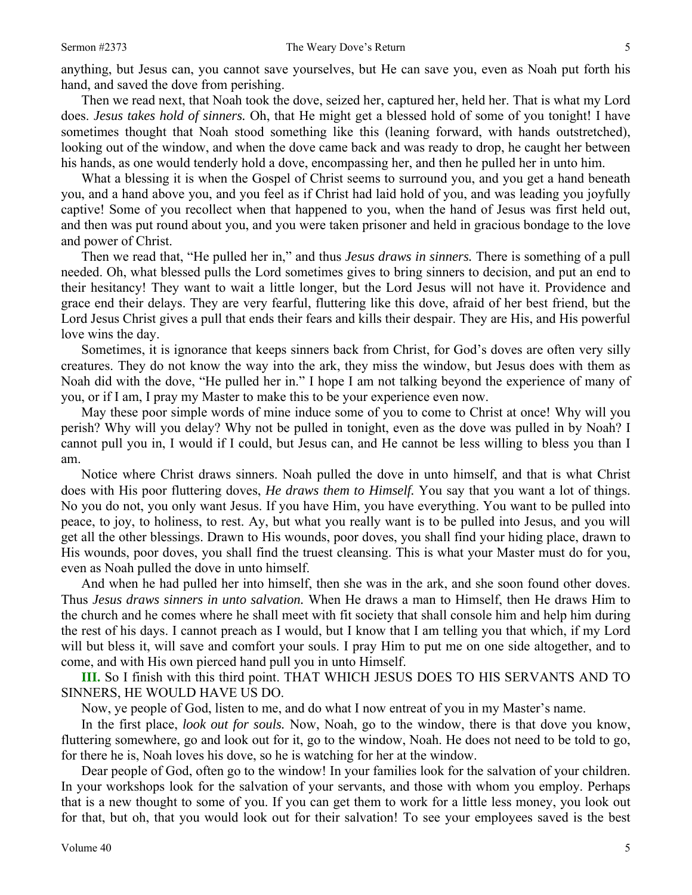anything, but Jesus can, you cannot save yourselves, but He can save you, even as Noah put forth his hand, and saved the dove from perishing.

Then we read next, that Noah took the dove, seized her, captured her, held her. That is what my Lord does. *Jesus takes hold of sinners.* Oh, that He might get a blessed hold of some of you tonight! I have sometimes thought that Noah stood something like this (leaning forward, with hands outstretched), looking out of the window, and when the dove came back and was ready to drop, he caught her between his hands, as one would tenderly hold a dove, encompassing her, and then he pulled her in unto him.

What a blessing it is when the Gospel of Christ seems to surround you, and you get a hand beneath you, and a hand above you, and you feel as if Christ had laid hold of you, and was leading you joyfully captive! Some of you recollect when that happened to you, when the hand of Jesus was first held out, and then was put round about you, and you were taken prisoner and held in gracious bondage to the love and power of Christ.

Then we read that, "He pulled her in," and thus *Jesus draws in sinners.* There is something of a pull needed. Oh, what blessed pulls the Lord sometimes gives to bring sinners to decision, and put an end to their hesitancy! They want to wait a little longer, but the Lord Jesus will not have it. Providence and grace end their delays. They are very fearful, fluttering like this dove, afraid of her best friend, but the Lord Jesus Christ gives a pull that ends their fears and kills their despair. They are His, and His powerful love wins the day.

Sometimes, it is ignorance that keeps sinners back from Christ, for God's doves are often very silly creatures. They do not know the way into the ark, they miss the window, but Jesus does with them as Noah did with the dove, "He pulled her in." I hope I am not talking beyond the experience of many of you, or if I am, I pray my Master to make this to be your experience even now.

May these poor simple words of mine induce some of you to come to Christ at once! Why will you perish? Why will you delay? Why not be pulled in tonight, even as the dove was pulled in by Noah? I cannot pull you in, I would if I could, but Jesus can, and He cannot be less willing to bless you than I am.

Notice where Christ draws sinners. Noah pulled the dove in unto himself, and that is what Christ does with His poor fluttering doves, *He draws them to Himself.* You say that you want a lot of things. No you do not, you only want Jesus. If you have Him, you have everything. You want to be pulled into peace, to joy, to holiness, to rest. Ay, but what you really want is to be pulled into Jesus, and you will get all the other blessings. Drawn to His wounds, poor doves, you shall find your hiding place, drawn to His wounds, poor doves, you shall find the truest cleansing. This is what your Master must do for you, even as Noah pulled the dove in unto himself.

And when he had pulled her into himself, then she was in the ark, and she soon found other doves. Thus *Jesus draws sinners in unto salvation.* When He draws a man to Himself, then He draws Him to the church and he comes where he shall meet with fit society that shall console him and help him during the rest of his days. I cannot preach as I would, but I know that I am telling you that which, if my Lord will but bless it, will save and comfort your souls. I pray Him to put me on one side altogether, and to come, and with His own pierced hand pull you in unto Himself.

**III.** So I finish with this third point. THAT WHICH JESUS DOES TO HIS SERVANTS AND TO SINNERS, HE WOULD HAVE US DO.

Now, ye people of God, listen to me, and do what I now entreat of you in my Master's name.

In the first place, *look out for souls.* Now, Noah, go to the window, there is that dove you know, fluttering somewhere, go and look out for it, go to the window, Noah. He does not need to be told to go, for there he is, Noah loves his dove, so he is watching for her at the window.

Dear people of God, often go to the window! In your families look for the salvation of your children. In your workshops look for the salvation of your servants, and those with whom you employ. Perhaps that is a new thought to some of you. If you can get them to work for a little less money, you look out for that, but oh, that you would look out for their salvation! To see your employees saved is the best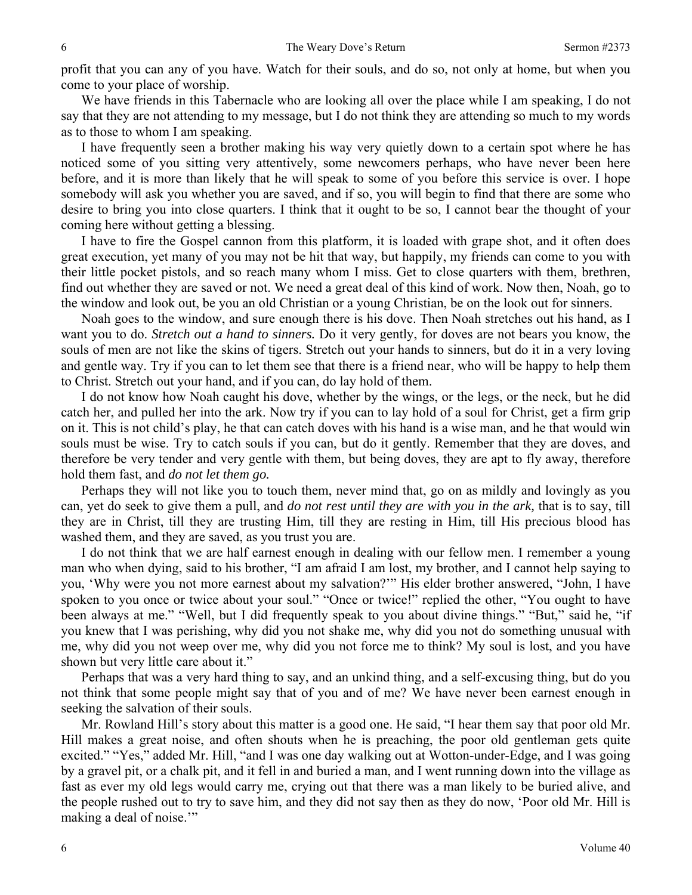profit that you can any of you have. Watch for their souls, and do so, not only at home, but when you come to your place of worship.

We have friends in this Tabernacle who are looking all over the place while I am speaking, I do not say that they are not attending to my message, but I do not think they are attending so much to my words as to those to whom I am speaking.

I have frequently seen a brother making his way very quietly down to a certain spot where he has noticed some of you sitting very attentively, some newcomers perhaps, who have never been here before, and it is more than likely that he will speak to some of you before this service is over. I hope somebody will ask you whether you are saved, and if so, you will begin to find that there are some who desire to bring you into close quarters. I think that it ought to be so, I cannot bear the thought of your coming here without getting a blessing.

I have to fire the Gospel cannon from this platform, it is loaded with grape shot, and it often does great execution, yet many of you may not be hit that way, but happily, my friends can come to you with their little pocket pistols, and so reach many whom I miss. Get to close quarters with them, brethren, find out whether they are saved or not. We need a great deal of this kind of work. Now then, Noah, go to the window and look out, be you an old Christian or a young Christian, be on the look out for sinners.

Noah goes to the window, and sure enough there is his dove. Then Noah stretches out his hand, as I want you to do. *Stretch out a hand to sinners.* Do it very gently, for doves are not bears you know, the souls of men are not like the skins of tigers. Stretch out your hands to sinners, but do it in a very loving and gentle way. Try if you can to let them see that there is a friend near, who will be happy to help them to Christ. Stretch out your hand, and if you can, do lay hold of them.

I do not know how Noah caught his dove, whether by the wings, or the legs, or the neck, but he did catch her, and pulled her into the ark. Now try if you can to lay hold of a soul for Christ, get a firm grip on it. This is not child's play, he that can catch doves with his hand is a wise man, and he that would win souls must be wise. Try to catch souls if you can, but do it gently. Remember that they are doves, and therefore be very tender and very gentle with them, but being doves, they are apt to fly away, therefore hold them fast, and *do not let them go.* 

Perhaps they will not like you to touch them, never mind that, go on as mildly and lovingly as you can, yet do seek to give them a pull, and *do not rest until they are with you in the ark,* that is to say, till they are in Christ, till they are trusting Him, till they are resting in Him, till His precious blood has washed them, and they are saved, as you trust you are.

I do not think that we are half earnest enough in dealing with our fellow men. I remember a young man who when dying, said to his brother, "I am afraid I am lost, my brother, and I cannot help saying to you, 'Why were you not more earnest about my salvation?'" His elder brother answered, "John, I have spoken to you once or twice about your soul." "Once or twice!" replied the other, "You ought to have been always at me." "Well, but I did frequently speak to you about divine things." "But," said he, "if you knew that I was perishing, why did you not shake me, why did you not do something unusual with me, why did you not weep over me, why did you not force me to think? My soul is lost, and you have shown but very little care about it."

Perhaps that was a very hard thing to say, and an unkind thing, and a self-excusing thing, but do you not think that some people might say that of you and of me? We have never been earnest enough in seeking the salvation of their souls.

Mr. Rowland Hill's story about this matter is a good one. He said, "I hear them say that poor old Mr. Hill makes a great noise, and often shouts when he is preaching, the poor old gentleman gets quite excited." "Yes," added Mr. Hill, "and I was one day walking out at Wotton-under-Edge, and I was going by a gravel pit, or a chalk pit, and it fell in and buried a man, and I went running down into the village as fast as ever my old legs would carry me, crying out that there was a man likely to be buried alive, and the people rushed out to try to save him, and they did not say then as they do now, 'Poor old Mr. Hill is making a deal of noise."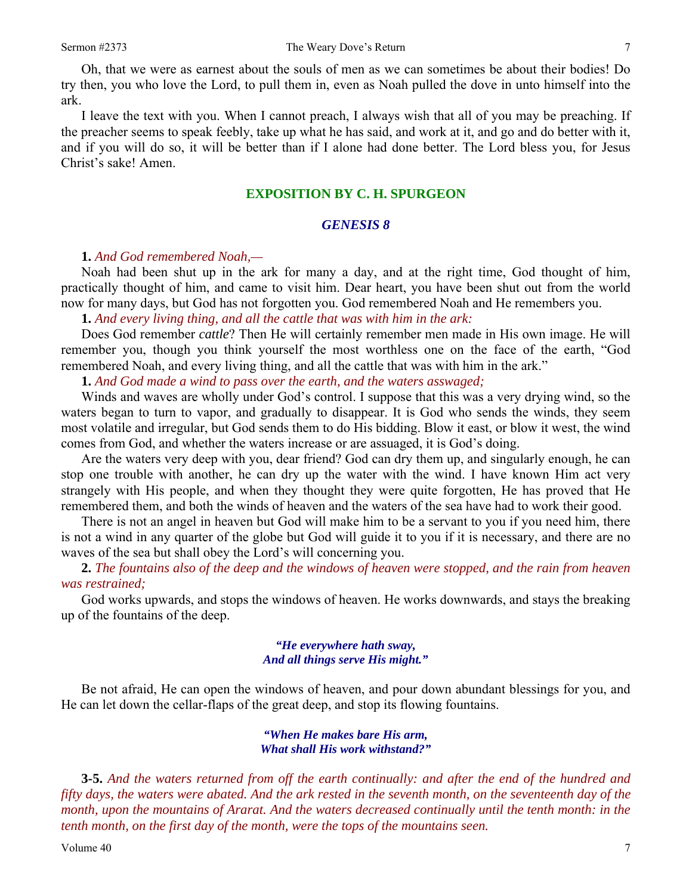Oh, that we were as earnest about the souls of men as we can sometimes be about their bodies! Do try then, you who love the Lord, to pull them in, even as Noah pulled the dove in unto himself into the ark.

I leave the text with you. When I cannot preach, I always wish that all of you may be preaching. If the preacher seems to speak feebly, take up what he has said, and work at it, and go and do better with it, and if you will do so, it will be better than if I alone had done better. The Lord bless you, for Jesus Christ's sake! Amen.

### **EXPOSITION BY C. H. SPURGEON**

#### *GENESIS 8*

**1.** *And God remembered Noah,—* 

Noah had been shut up in the ark for many a day, and at the right time, God thought of him, practically thought of him, and came to visit him. Dear heart, you have been shut out from the world now for many days, but God has not forgotten you. God remembered Noah and He remembers you.

**1.** *And every living thing, and all the cattle that was with him in the ark:* 

Does God remember *cattle*? Then He will certainly remember men made in His own image. He will remember you, though you think yourself the most worthless one on the face of the earth, "God remembered Noah, and every living thing, and all the cattle that was with him in the ark."

**1.** *And God made a wind to pass over the earth, and the waters asswaged;* 

Winds and waves are wholly under God's control. I suppose that this was a very drying wind, so the waters began to turn to vapor, and gradually to disappear. It is God who sends the winds, they seem most volatile and irregular, but God sends them to do His bidding. Blow it east, or blow it west, the wind comes from God, and whether the waters increase or are assuaged, it is God's doing.

Are the waters very deep with you, dear friend? God can dry them up, and singularly enough, he can stop one trouble with another, he can dry up the water with the wind. I have known Him act very strangely with His people, and when they thought they were quite forgotten, He has proved that He remembered them, and both the winds of heaven and the waters of the sea have had to work their good.

There is not an angel in heaven but God will make him to be a servant to you if you need him, there is not a wind in any quarter of the globe but God will guide it to you if it is necessary, and there are no waves of the sea but shall obey the Lord's will concerning you.

**2.** *The fountains also of the deep and the windows of heaven were stopped, and the rain from heaven was restrained;* 

God works upwards, and stops the windows of heaven. He works downwards, and stays the breaking up of the fountains of the deep.

#### *"He everywhere hath sway, And all things serve His might."*

Be not afraid, He can open the windows of heaven, and pour down abundant blessings for you, and He can let down the cellar-flaps of the great deep, and stop its flowing fountains.

#### *"When He makes bare His arm, What shall His work withstand?"*

**3-5.** *And the waters returned from off the earth continually: and after the end of the hundred and fifty days, the waters were abated. And the ark rested in the seventh month, on the seventeenth day of the month, upon the mountains of Ararat. And the waters decreased continually until the tenth month: in the tenth month, on the first day of the month, were the tops of the mountains seen.*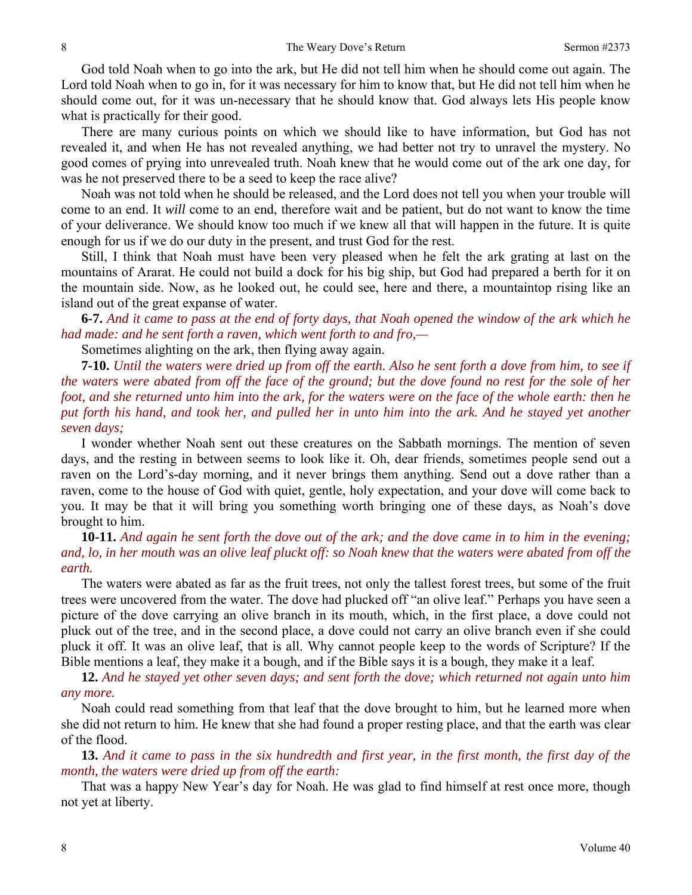God told Noah when to go into the ark, but He did not tell him when he should come out again. The Lord told Noah when to go in, for it was necessary for him to know that, but He did not tell him when he should come out, for it was un-necessary that he should know that. God always lets His people know what is practically for their good.

There are many curious points on which we should like to have information, but God has not revealed it, and when He has not revealed anything, we had better not try to unravel the mystery. No good comes of prying into unrevealed truth. Noah knew that he would come out of the ark one day, for was he not preserved there to be a seed to keep the race alive?

Noah was not told when he should be released, and the Lord does not tell you when your trouble will come to an end. It *will* come to an end, therefore wait and be patient, but do not want to know the time of your deliverance. We should know too much if we knew all that will happen in the future. It is quite enough for us if we do our duty in the present, and trust God for the rest.

Still, I think that Noah must have been very pleased when he felt the ark grating at last on the mountains of Ararat. He could not build a dock for his big ship, but God had prepared a berth for it on the mountain side. Now, as he looked out, he could see, here and there, a mountaintop rising like an island out of the great expanse of water.

**6-7.** *And it came to pass at the end of forty days, that Noah opened the window of the ark which he had made: and he sent forth a raven, which went forth to and fro,—* 

Sometimes alighting on the ark, then flying away again.

**7-10.** *Until the waters were dried up from off the earth. Also he sent forth a dove from him, to see if the waters were abated from off the face of the ground; but the dove found no rest for the sole of her foot, and she returned unto him into the ark, for the waters were on the face of the whole earth: then he put forth his hand, and took her, and pulled her in unto him into the ark. And he stayed yet another seven days;* 

I wonder whether Noah sent out these creatures on the Sabbath mornings. The mention of seven days, and the resting in between seems to look like it. Oh, dear friends, sometimes people send out a raven on the Lord's-day morning, and it never brings them anything. Send out a dove rather than a raven, come to the house of God with quiet, gentle, holy expectation, and your dove will come back to you. It may be that it will bring you something worth bringing one of these days, as Noah's dove brought to him.

**10-11.** *And again he sent forth the dove out of the ark; and the dove came in to him in the evening; and, lo, in her mouth was an olive leaf pluckt off: so Noah knew that the waters were abated from off the earth.* 

The waters were abated as far as the fruit trees, not only the tallest forest trees, but some of the fruit trees were uncovered from the water. The dove had plucked off "an olive leaf." Perhaps you have seen a picture of the dove carrying an olive branch in its mouth, which, in the first place, a dove could not pluck out of the tree, and in the second place, a dove could not carry an olive branch even if she could pluck it off. It was an olive leaf, that is all. Why cannot people keep to the words of Scripture? If the Bible mentions a leaf, they make it a bough, and if the Bible says it is a bough, they make it a leaf.

**12.** *And he stayed yet other seven days; and sent forth the dove; which returned not again unto him any more.* 

Noah could read something from that leaf that the dove brought to him, but he learned more when she did not return to him. He knew that she had found a proper resting place, and that the earth was clear of the flood.

**13.** *And it came to pass in the six hundredth and first year, in the first month, the first day of the month, the waters were dried up from off the earth:* 

That was a happy New Year's day for Noah. He was glad to find himself at rest once more, though not yet at liberty.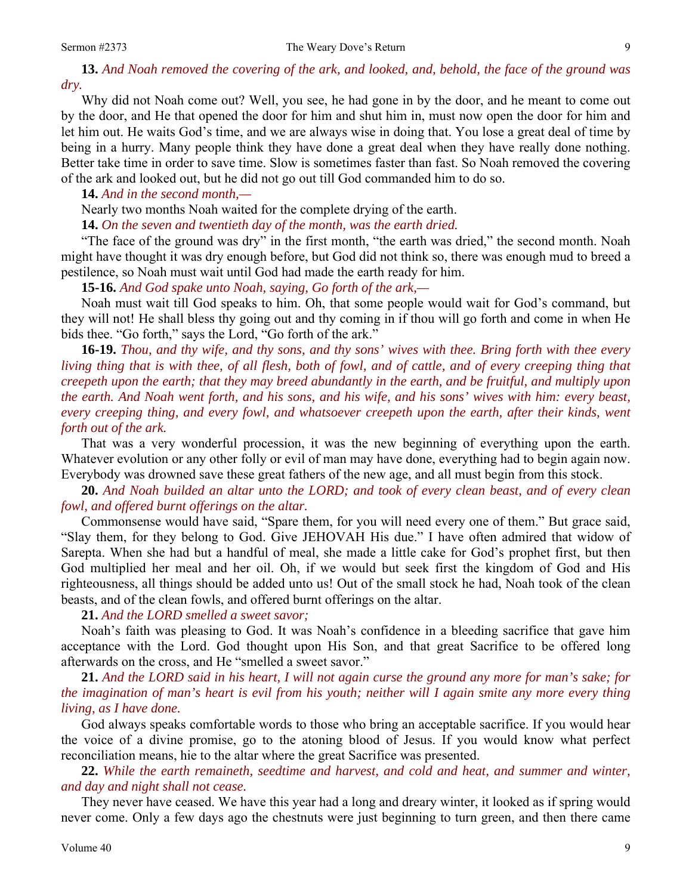**13.** *And Noah removed the covering of the ark, and looked, and, behold, the face of the ground was dry.* 

Why did not Noah come out? Well, you see, he had gone in by the door, and he meant to come out by the door, and He that opened the door for him and shut him in, must now open the door for him and let him out. He waits God's time, and we are always wise in doing that. You lose a great deal of time by being in a hurry. Many people think they have done a great deal when they have really done nothing. Better take time in order to save time. Slow is sometimes faster than fast. So Noah removed the covering of the ark and looked out, but he did not go out till God commanded him to do so.

**14.** *And in the second month,—* 

Nearly two months Noah waited for the complete drying of the earth.

**14.** *On the seven and twentieth day of the month, was the earth dried.* 

"The face of the ground was dry" in the first month, "the earth was dried," the second month. Noah might have thought it was dry enough before, but God did not think so, there was enough mud to breed a pestilence, so Noah must wait until God had made the earth ready for him.

**15-16.** *And God spake unto Noah, saying, Go forth of the ark,—* 

Noah must wait till God speaks to him. Oh, that some people would wait for God's command, but they will not! He shall bless thy going out and thy coming in if thou will go forth and come in when He bids thee. "Go forth," says the Lord, "Go forth of the ark."

**16-19.** *Thou, and thy wife, and thy sons, and thy sons' wives with thee. Bring forth with thee every living thing that is with thee, of all flesh, both of fowl, and of cattle, and of every creeping thing that creepeth upon the earth; that they may breed abundantly in the earth, and be fruitful, and multiply upon the earth. And Noah went forth, and his sons, and his wife, and his sons' wives with him: every beast, every creeping thing, and every fowl, and whatsoever creepeth upon the earth, after their kinds, went forth out of the ark.* 

That was a very wonderful procession, it was the new beginning of everything upon the earth. Whatever evolution or any other folly or evil of man may have done, everything had to begin again now. Everybody was drowned save these great fathers of the new age, and all must begin from this stock.

**20.** *And Noah builded an altar unto the LORD; and took of every clean beast, and of every clean fowl, and offered burnt offerings on the altar.* 

Commonsense would have said, "Spare them, for you will need every one of them." But grace said, "Slay them, for they belong to God. Give JEHOVAH His due." I have often admired that widow of Sarepta. When she had but a handful of meal, she made a little cake for God's prophet first, but then God multiplied her meal and her oil. Oh, if we would but seek first the kingdom of God and His righteousness, all things should be added unto us! Out of the small stock he had, Noah took of the clean beasts, and of the clean fowls, and offered burnt offerings on the altar.

#### **21.** *And the LORD smelled a sweet savor;*

Noah's faith was pleasing to God. It was Noah's confidence in a bleeding sacrifice that gave him acceptance with the Lord. God thought upon His Son, and that great Sacrifice to be offered long afterwards on the cross, and He "smelled a sweet savor."

**21.** *And the LORD said in his heart, I will not again curse the ground any more for man's sake; for the imagination of man's heart is evil from his youth; neither will I again smite any more every thing living, as I have done.* 

God always speaks comfortable words to those who bring an acceptable sacrifice. If you would hear the voice of a divine promise, go to the atoning blood of Jesus. If you would know what perfect reconciliation means, hie to the altar where the great Sacrifice was presented.

**22.** *While the earth remaineth, seedtime and harvest, and cold and heat, and summer and winter, and day and night shall not cease.* 

They never have ceased. We have this year had a long and dreary winter, it looked as if spring would never come. Only a few days ago the chestnuts were just beginning to turn green, and then there came